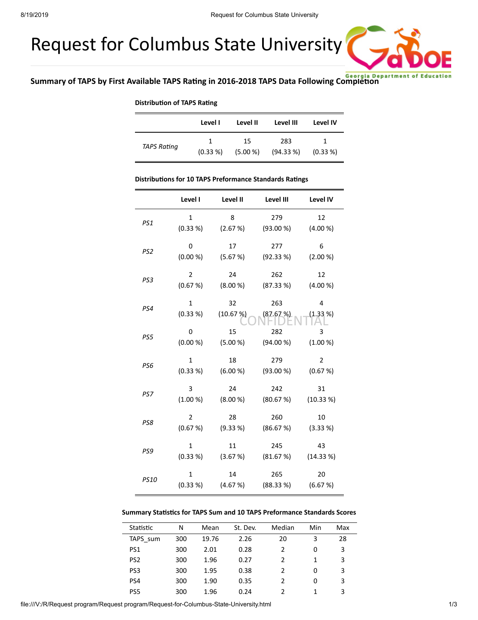# Request for Columbus State University



#### **Distribution of TAPS Rating**

|                    | Level I        | Level II | Level III | Level IV    |
|--------------------|----------------|----------|-----------|-------------|
| <b>TAPS Rating</b> | $\overline{1}$ | 15       | 283       | 1           |
|                    | (0.33 %)       | (5.00 %) | (94.33%)  | $(0.33\% )$ |

#### **Distributions for 10 TAPS Preformance Standards Ratings**

|                 | Level I        | Level II | Level III | Level IV  |
|-----------------|----------------|----------|-----------|-----------|
| PS1             | $\mathbf{1}$   | 8        | 279       | 12        |
|                 | (0.33 %)       | (2.67%)  | (93.00 %) | (4.00 %)  |
| PS <sub>2</sub> | 0              | 17       | 277       | 6         |
|                 | (0.00 %)       | (5.67%)  | (92.33%)  | (2.00 %)  |
| PS3             | $\overline{2}$ | 24       | 262       | 12        |
|                 | (0.67%)        | (8.00 %) | (87.33%)  | (4.00 %)  |
| PS4             | $\mathbf{1}$   | 32       | 263       | 4         |
|                 | (0.33 %)       | (10.67%) | (87.67%)  | (1.33 %)  |
| PS5             | 0              | 15       | 282       | 3         |
|                 | (0.00 %)       | (5.00 %) | (94.00 %) | (1.00 %)  |
| PS6             | $\mathbf{1}$   | 18       | 279       | 2         |
|                 | (0.33 %)       | (6.00 %) | (93.00 %) | (0.67 %)  |
| PS7             | 3              | 24       | 242       | 31        |
|                 | (1.00 %)       | (8.00 %) | (80.67%)  | (10.33 %) |
| PS8             | $\overline{2}$ | 28       | 260       | 10        |
|                 | (0.67%)        | (9.33 %) | (86.67%)  | (3.33 %)  |
| PS9             | $\mathbf{1}$   | 11       | 245       | 43        |
|                 | (0.33 %)       | (3.67%)  | (81.67%)  | (14.33%)  |
| <b>PS10</b>     | $\mathbf{1}$   | 14       | 265       | 20        |
|                 | (0.33 %)       | (4.67%)  | (88.33%)  | (6.67%)   |

#### **Summary Statistics for TAPS Sum and 10 TAPS Preformance Standards Scores**

| Statistic       | N   | Mean  | St. Dev. | Median        | Min | Max |
|-----------------|-----|-------|----------|---------------|-----|-----|
| TAPS sum        | 300 | 19.76 | 2.26     | 20            | 3   | 28  |
| PS <sub>1</sub> | 300 | 2.01  | 0.28     |               | 0   | 3   |
| PS <sub>2</sub> | 300 | 1.96  | 0.27     | $\mathcal{P}$ |     | 3   |
| PS <sub>3</sub> | 300 | 1.95  | 0.38     | $\mathcal{P}$ | 0   | 3   |
| PS4             | 300 | 1.90  | 0.35     |               | 0   | 3   |
| PS <sub>5</sub> | 300 | 1.96  | 0.24     |               |     | 3   |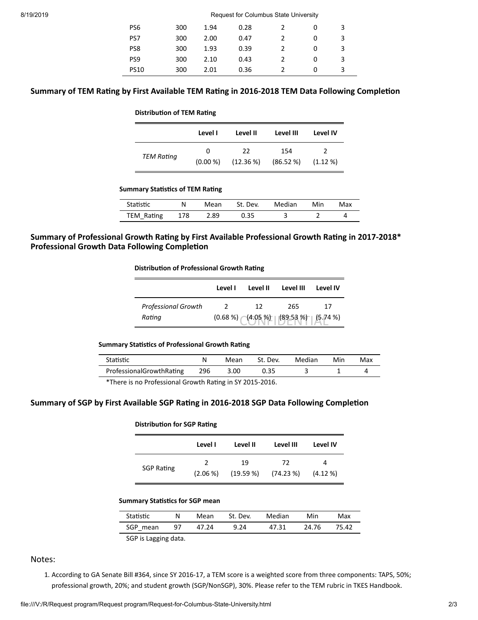| PS <sub>6</sub> | 300 | 1.94 | 0.28 |   | 3 |
|-----------------|-----|------|------|---|---|
| PS7             | 300 | 2.00 | 0.47 | ŋ | 3 |
| PS8             | 300 | 1.93 | 0.39 |   | 3 |
| PS <sub>9</sub> | 300 | 2.10 | 0.43 |   | 3 |
| <b>PS10</b>     | 300 | 2.01 | 0.36 |   | 3 |

# **Summary of TEM Rating by First Available TEM Rating in 2016-2018 TEM Data Following Completion**

#### **Distribution of TEM Rating**

|                   | Level I  | Level II    | Level III | Level IV   |
|-------------------|----------|-------------|-----------|------------|
| <b>TEM Rating</b> | 0        | 22          | 154       | 2          |
|                   | (0.00 %) | $(12.36\%)$ | (86.52%)  | $(1.12\%)$ |

#### **Summary Statistics of TEM Rating**

| Statistic  | N   | Mean | St. Dev. | Median | Min | Max |
|------------|-----|------|----------|--------|-----|-----|
| TEM Rating | 178 | 2.89 | 0.35     |        |     |     |

# **Summary of Professional Growth Rang by First Available Professional Growth Rang in 2017-2018\* Professional Growth Data Following Completion**

#### **Distribution of Professional Growth Rating**

|                            | Level I                                      | Level II | Level III | Level IV |  |
|----------------------------|----------------------------------------------|----------|-----------|----------|--|
| <b>Professional Growth</b> |                                              | 12       | 265       | 17       |  |
| Rating                     | $(0.68\%)$ $(4.05\%)$ $(89.53\%)$ $(5.74\%)$ |          |           |          |  |

## **Summary Statistics of Professional Growth Rating**

| Statistic                |     | Mean | St. Dev. | Median | Min | Max |
|--------------------------|-----|------|----------|--------|-----|-----|
| ProfessionalGrowthRating | 296 | 3.00 | 0.35     |        |     |     |

\*There is no Professional Growth Rating in SY 2015-2016.

# **Summary** of **SGP** by First Available SGP Rating in 2016-2018 SGP Data Following Completion

## **Distribution for SGP Rating**

|                   | Level I       | Level II  | Level III | Level IV |
|-------------------|---------------|-----------|-----------|----------|
| <b>SGP Rating</b> | $\mathcal{L}$ | 19        | 72        | 4        |
|                   | (2.06 %)      | (19.59 %) | (74.23%)  | (4.12%   |

#### **Summary Statistics for SGP mean**

| Statistic                  | N    | Mean  | St. Dev. | Median | Min   | Max   |
|----------------------------|------|-------|----------|--------|-------|-------|
| SGP mean                   | - 97 | 47.24 | 9.24     | 47.31  | 24.76 | 75.42 |
| COB to the contract dealer |      |       |          |        |       |       |

SGP is Lagging data.

# Notes:

1. According to GA Senate Bill #364, since SY 2016-17, a TEM score is a weighted score from three components: TAPS, 50%; professional growth, 20%; and student growth (SGP/NonSGP), 30%. Please refer to the TEM rubric in TKES Handbook.